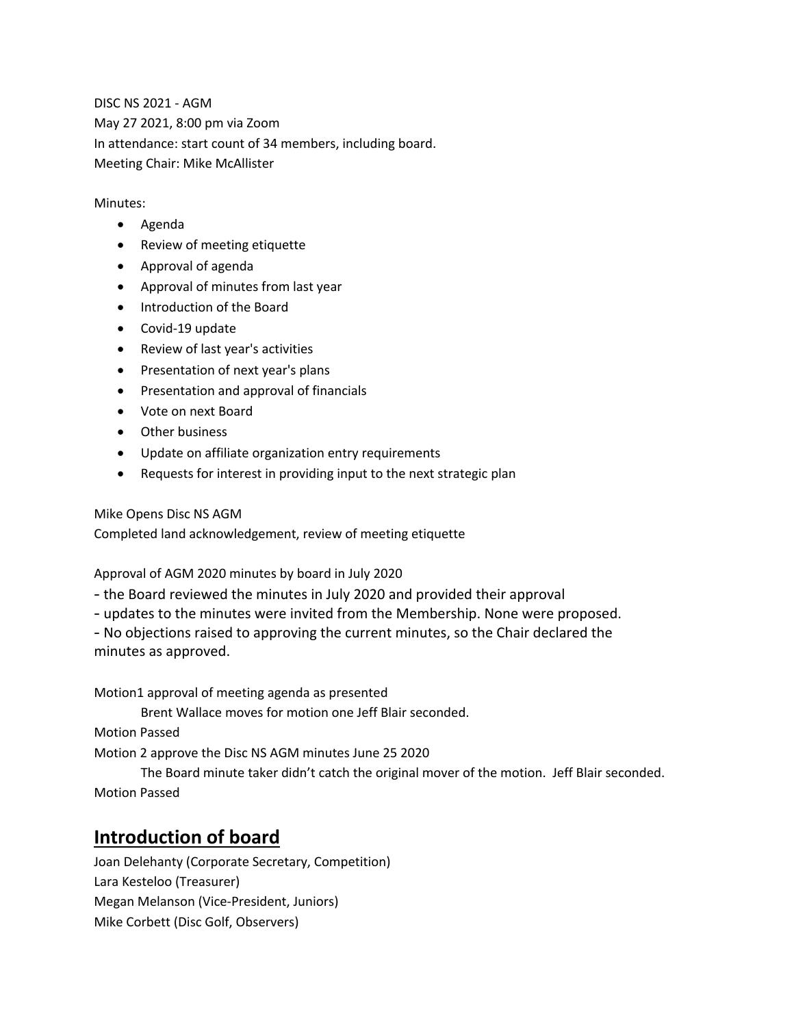DISC NS 2021 - AGM May 27 2021, 8:00 pm via Zoom In attendance: start count of 34 members, including board. Meeting Chair: Mike McAllister

#### Minutes:

- Agenda
- Review of meeting etiquette
- Approval of agenda
- Approval of minutes from last year
- Introduction of the Board
- Covid-19 update
- Review of last year's activities
- Presentation of next year's plans
- Presentation and approval of financials
- Vote on next Board
- Other business
- Update on affiliate organization entry requirements
- Requests for interest in providing input to the next strategic plan

Mike Opens Disc NS AGM

Completed land acknowledgement, review of meeting etiquette

Approval of AGM 2020 minutes by board in July 2020

- the Board reviewed the minutes in July 2020 and provided their approval
- updates to the minutes were invited from the Membership. None were proposed.

- No objections raised to approving the current minutes, so the Chair declared the minutes as approved.

Motion1 approval of meeting agenda as presented

Brent Wallace moves for motion one Jeff Blair seconded.

Motion Passed

Motion 2 approve the Disc NS AGM minutes June 25 2020

The Board minute taker didn't catch the original mover of the motion. Jeff Blair seconded. Motion Passed

### **Introduction of board**

Joan Delehanty (Corporate Secretary, Competition) Lara Kesteloo (Treasurer) Megan Melanson (Vice-President, Juniors) Mike Corbett (Disc Golf, Observers)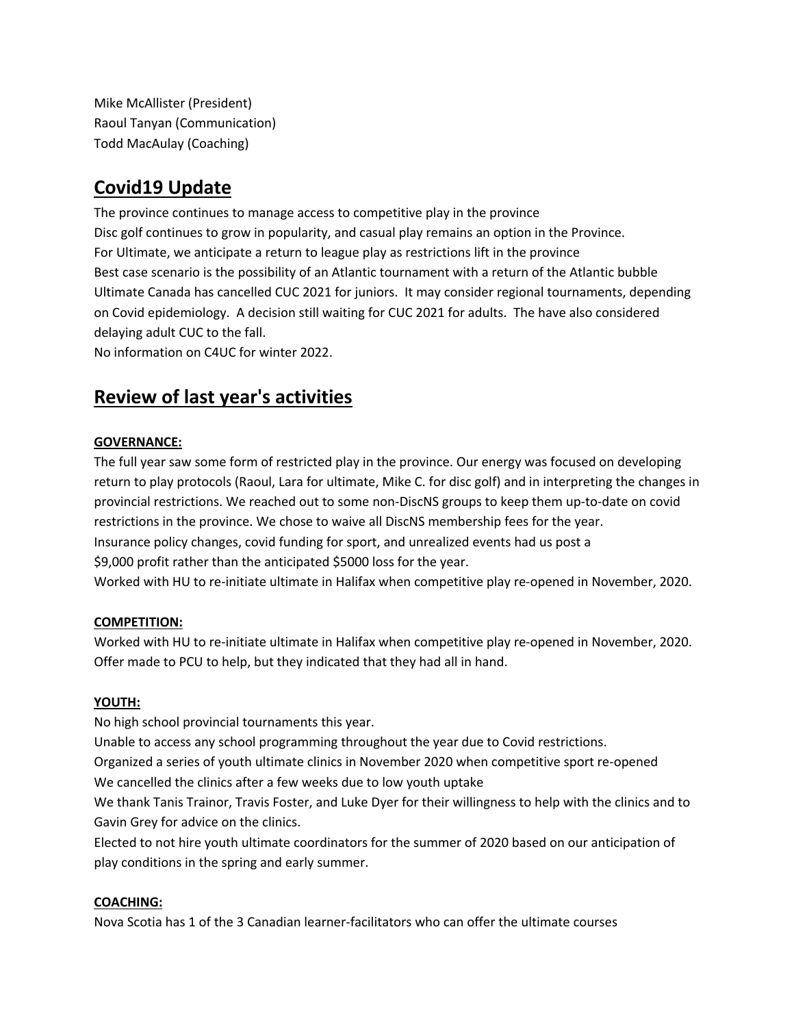Mike McAllister (President) Raoul Tanyan (Communication) Todd MacAulay (Coaching)

# **Covid19 Update**

The province continues to manage access to competitive play in the province Disc golf continues to grow in popularity, and casual play remains an option in the Province. For Ultimate, we anticipate a return to league play as restrictions lift in the province Best case scenario is the possibility of an Atlantic tournament with a return of the Atlantic bubble Ultimate Canada has cancelled CUC 2021 for juniors. It may consider regional tournaments, depending on Covid epidemiology. A decision still waiting for CUC 2021 for adults. The have also considered delaying adult CUC to the fall.

No information on C4UC for winter 2022.

# **Review of last year's activities**

#### **GOVERNANCE:**

The full year saw some form of restricted play in the province. Our energy was focused on developing return to play protocols (Raoul, Lara for ultimate, Mike C. for disc golf) and in interpreting the changes in provincial restrictions. We reached out to some non-DiscNS groups to keep them up-to-date on covid restrictions in the province. We chose to waive all DiscNS membership fees for the year. Insurance policy changes, covid funding for sport, and unrealized events had us post a \$9,000 profit rather than the anticipated \$5000 loss for the year. Worked with HU to re-initiate ultimate in Halifax when competitive play re-opened in November, 2020.

#### **COMPETITION:**

Worked with HU to re-initiate ultimate in Halifax when competitive play re-opened in November, 2020. Offer made to PCU to help, but they indicated that they had all in hand.

#### **YOUTH:**

No high school provincial tournaments this year.

Unable to access any school programming throughout the year due to Covid restrictions.

Organized a series of youth ultimate clinics in November 2020 when competitive sport re-opened We cancelled the clinics after a few weeks due to low youth uptake

We thank Tanis Trainor, Travis Foster, and Luke Dyer for their willingness to help with the clinics and to Gavin Grey for advice on the clinics.

Elected to not hire youth ultimate coordinators for the summer of 2020 based on our anticipation of play conditions in the spring and early summer.

#### **COACHING:**

Nova Scotia has 1 of the 3 Canadian learner-facilitators who can offer the ultimate courses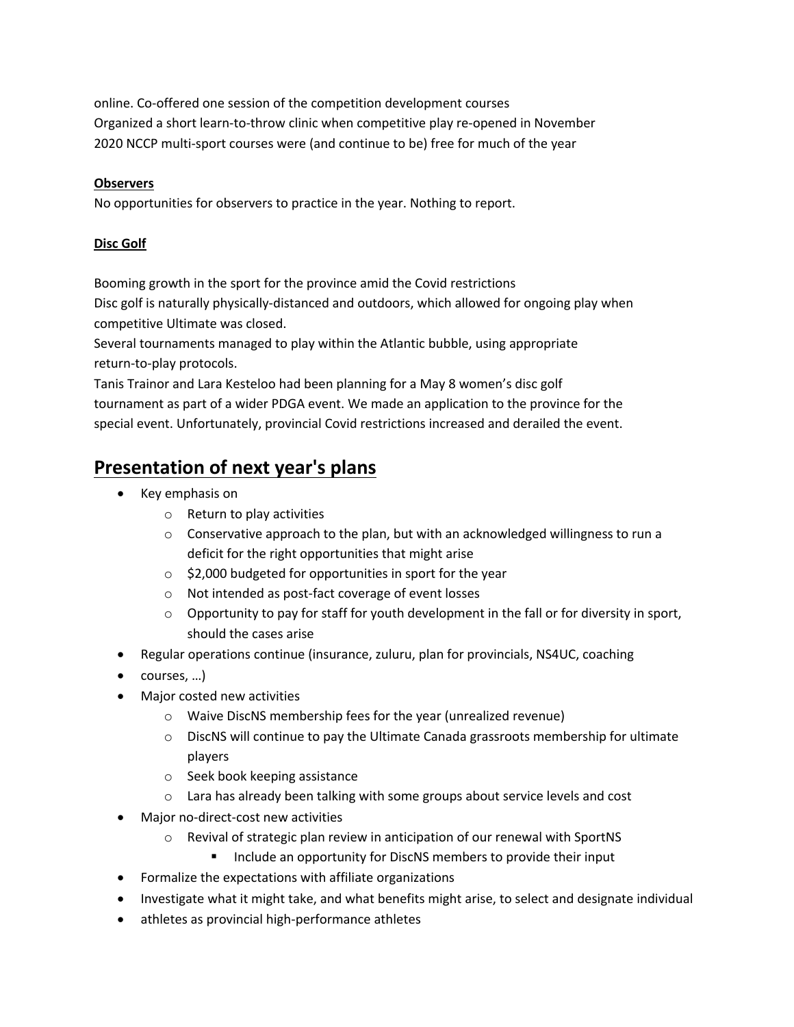online. Co-offered one session of the competition development courses Organized a short learn-to-throw clinic when competitive play re-opened in November 2020 NCCP multi-sport courses were (and continue to be) free for much of the year

#### **Observers**

No opportunities for observers to practice in the year. Nothing to report.

#### **Disc Golf**

Booming growth in the sport for the province amid the Covid restrictions

Disc golf is naturally physically-distanced and outdoors, which allowed for ongoing play when competitive Ultimate was closed.

Several tournaments managed to play within the Atlantic bubble, using appropriate return-to-play protocols.

Tanis Trainor and Lara Kesteloo had been planning for a May 8 women's disc golf tournament as part of a wider PDGA event. We made an application to the province for the special event. Unfortunately, provincial Covid restrictions increased and derailed the event.

# **Presentation of next year's plans**

- Key emphasis on
	- o Return to play activities
	- $\circ$  Conservative approach to the plan, but with an acknowledged willingness to run a deficit for the right opportunities that might arise
	- o \$2,000 budgeted for opportunities in sport for the year
	- o Not intended as post-fact coverage of event losses
	- $\circ$  Opportunity to pay for staff for youth development in the fall or for diversity in sport, should the cases arise
- Regular operations continue (insurance, zuluru, plan for provincials, NS4UC, coaching
- courses, …)
- Major costed new activities
	- o Waive DiscNS membership fees for the year (unrealized revenue)
	- $\circ$  DiscNS will continue to pay the Ultimate Canada grassroots membership for ultimate players
	- o Seek book keeping assistance
	- o Lara has already been talking with some groups about service levels and cost
- Major no-direct-cost new activities
	- o Revival of strategic plan review in anticipation of our renewal with SportNS
		- Include an opportunity for DiscNS members to provide their input
- Formalize the expectations with affiliate organizations
- Investigate what it might take, and what benefits might arise, to select and designate individual
- athletes as provincial high-performance athletes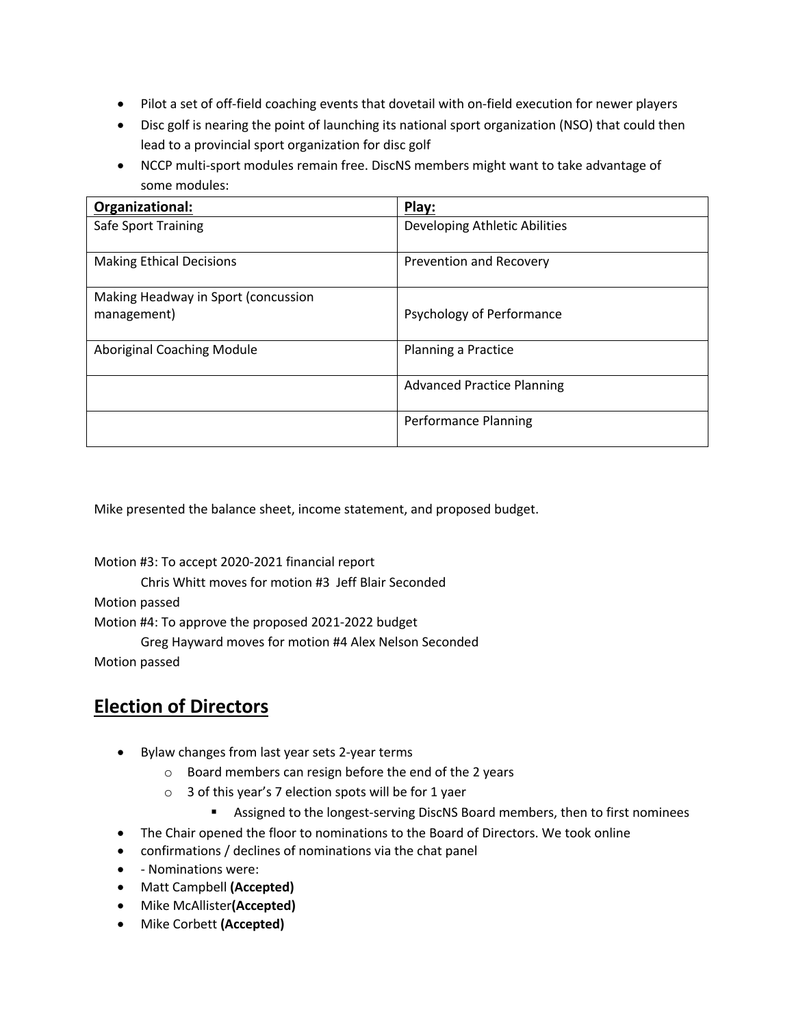- Pilot a set of off-field coaching events that dovetail with on-field execution for newer players
- Disc golf is nearing the point of launching its national sport organization (NSO) that could then lead to a provincial sport organization for disc golf
- NCCP multi-sport modules remain free. DiscNS members might want to take advantage of some modules:

| Organizational:                     | Play:                             |
|-------------------------------------|-----------------------------------|
| Safe Sport Training                 | Developing Athletic Abilities     |
| <b>Making Ethical Decisions</b>     | Prevention and Recovery           |
| Making Headway in Sport (concussion |                                   |
| management)                         | Psychology of Performance         |
| Aboriginal Coaching Module          | Planning a Practice               |
|                                     | <b>Advanced Practice Planning</b> |
|                                     | <b>Performance Planning</b>       |

Mike presented the balance sheet, income statement, and proposed budget.

Motion #3: To accept 2020-2021 financial report

Chris Whitt moves for motion #3 Jeff Blair Seconded

Motion passed

Motion #4: To approve the proposed 2021-2022 budget

Greg Hayward moves for motion #4 Alex Nelson Seconded

Motion passed

## **Election of Directors**

- Bylaw changes from last year sets 2-year terms
	- o Board members can resign before the end of the 2 years
	- o 3 of this year's 7 election spots will be for 1 yaer
		- Assigned to the longest-serving DiscNS Board members, then to first nominees
- The Chair opened the floor to nominations to the Board of Directors. We took online
- confirmations / declines of nominations via the chat panel
- - Nominations were:
- Matt Campbell **(Accepted)**
- Mike McAllister**(Accepted)**
- Mike Corbett **(Accepted)**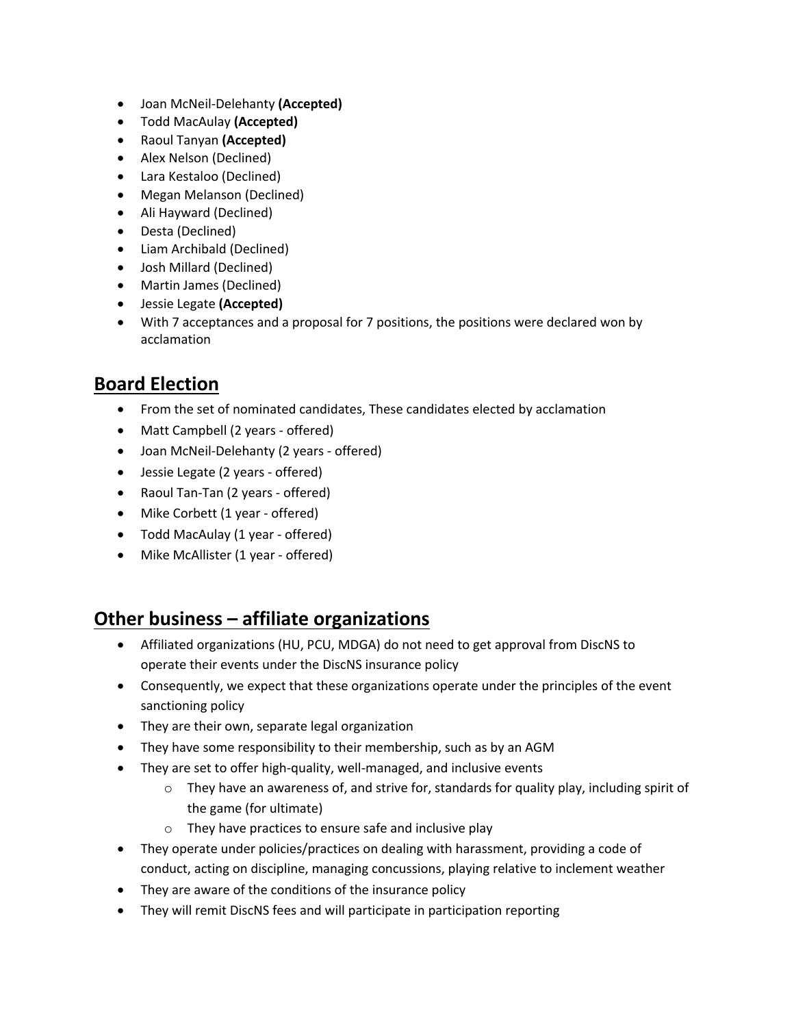- Joan McNeil-Delehanty **(Accepted)**
- Todd MacAulay **(Accepted)**
- Raoul Tanyan **(Accepted)**
- Alex Nelson (Declined)
- Lara Kestaloo (Declined)
- Megan Melanson (Declined)
- Ali Hayward (Declined)
- Desta (Declined)
- Liam Archibald (Declined)
- Josh Millard (Declined)
- Martin James (Declined)
- Jessie Legate **(Accepted)**
- With 7 acceptances and a proposal for 7 positions, the positions were declared won by acclamation

# **Board Election**

- From the set of nominated candidates, These candidates elected by acclamation
- Matt Campbell (2 years offered)
- Joan McNeil-Delehanty (2 years offered)
- Jessie Legate (2 years offered)
- Raoul Tan-Tan (2 years offered)
- Mike Corbett (1 year offered)
- Todd MacAulay (1 year offered)
- Mike McAllister (1 year offered)

## **Other business – affiliate organizations**

- Affiliated organizations (HU, PCU, MDGA) do not need to get approval from DiscNS to operate their events under the DiscNS insurance policy
- Consequently, we expect that these organizations operate under the principles of the event sanctioning policy
- They are their own, separate legal organization
- They have some responsibility to their membership, such as by an AGM
- They are set to offer high-quality, well-managed, and inclusive events
	- $\circ$  They have an awareness of, and strive for, standards for quality play, including spirit of the game (for ultimate)
	- o They have practices to ensure safe and inclusive play
- They operate under policies/practices on dealing with harassment, providing a code of conduct, acting on discipline, managing concussions, playing relative to inclement weather
- They are aware of the conditions of the insurance policy
- They will remit DiscNS fees and will participate in participation reporting